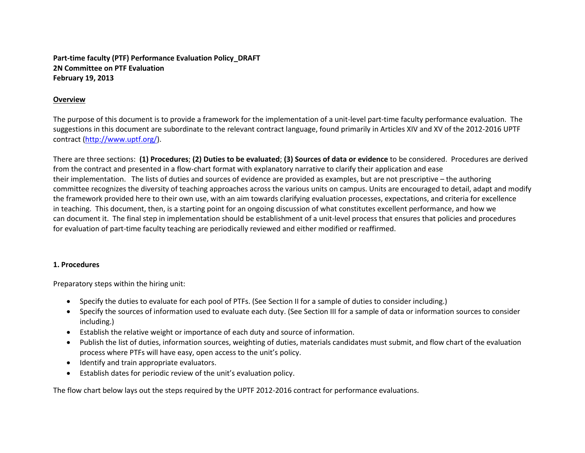**Part-time faculty (PTF) Performance Evaluation Policy\_DRAFT 2N Committee on PTF Evaluation February 19, 2013**

# **Overview**

The purpose of this document is to provide a framework for the implementation of a unit-level part-time faculty performance evaluation. The suggestions in this document are subordinate to the relevant contract language, found primarily in Articles XIV and XV of the 2012-2016 UPTF contract (http://www.uptf.org/).

There are three sections: **(1) Procedures**; **(2) Duties to be evaluated**; **(3) Sources of data or evidence** to be considered. Procedures are derived from the contract and presented in a flow-chart format with explanatory narrative to clarify their application and ease their implementation. The lists of duties and sources of evidence are provided as examples, but are not prescriptive – the authoring committee recognizes the diversity of teaching approaches across the various units on campus. Units are encouraged to detail, adapt and modify the framework provided here to their own use, with an aim towards clarifying evaluation processes, expectations, and criteria for excellence in teaching. This document, then, is a starting point for an ongoing discussion of what constitutes excellent performance, and how we can document it. The final step in implementation should be establishment of a unit-level process that ensures that policies and procedures for evaluation of part-time faculty teaching are periodically reviewed and either modified or reaffirmed.

### **1. Procedures**

Preparatory steps within the hiring unit:

- Specify the duties to evaluate for each pool of PTFs. (See Section II for a sample of duties to consider including.)
- Specify the sources of information used to evaluate each duty. (See Section III for a sample of data or information sources to consider including.)
- Establish the relative weight or importance of each duty and source of information.
- Publish the list of duties, information sources, weighting of duties, materials candidates must submit, and flow chart of the evaluation process where PTFs will have easy, open access to the unit's policy.
- Identify and train appropriate evaluators.
- Establish dates for periodic review of the unit's evaluation policy.

The flow chart below lays out the steps required by the UPTF 2012-2016 contract for performance evaluations.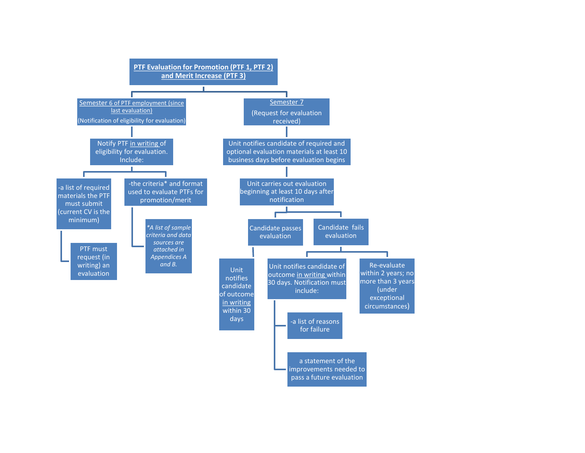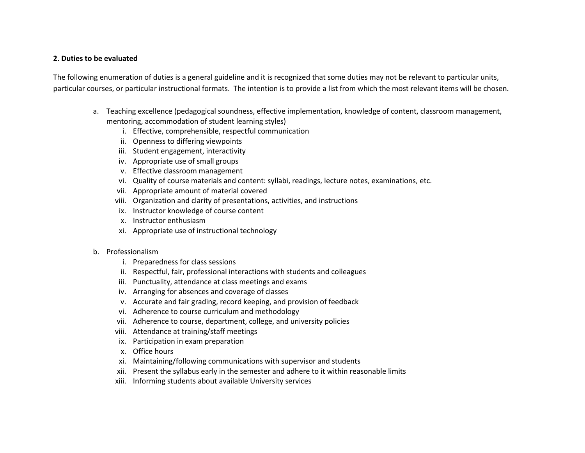# **2. Duties to be evaluated**

The following enumeration of duties is a general guideline and it is recognized that some duties may not be relevant to particular units, particular courses, or particular instructional formats. The intention is to provide a list from which the most relevant items will be chosen.

- a. Teaching excellence (pedagogical soundness, effective implementation, knowledge of content, classroom management, mentoring, accommodation of student learning styles)
	- i. Effective, comprehensible, respectful communication
	- ii. Openness to differing viewpoints
	- iii. Student engagement, interactivity
	- iv. Appropriate use of small groups
	- v. Effective classroom management
	- vi. Quality of course materials and content: syllabi, readings, lecture notes, examinations, etc.
	- vii. Appropriate amount of material covered
	- viii. Organization and clarity of presentations, activities, and instructions
	- ix. Instructor knowledge of course content
	- x. Instructor enthusiasm
	- xi. Appropriate use of instructional technology

### b. Professionalism

- i. Preparedness for class sessions
- ii. Respectful, fair, professional interactions with students and colleagues
- iii. Punctuality, attendance at class meetings and exams
- iv. Arranging for absences and coverage of classes
- v. Accurate and fair grading, record keeping, and provision of feedback
- vi. Adherence to course curriculum and methodology
- vii. Adherence to course, department, college, and university policies
- viii. Attendance at training/staff meetings
- ix. Participation in exam preparation
- x. Office hours
- xi. Maintaining/following communications with supervisor and students
- xii. Present the syllabus early in the semester and adhere to it within reasonable limits
- xiii. Informing students about available University services